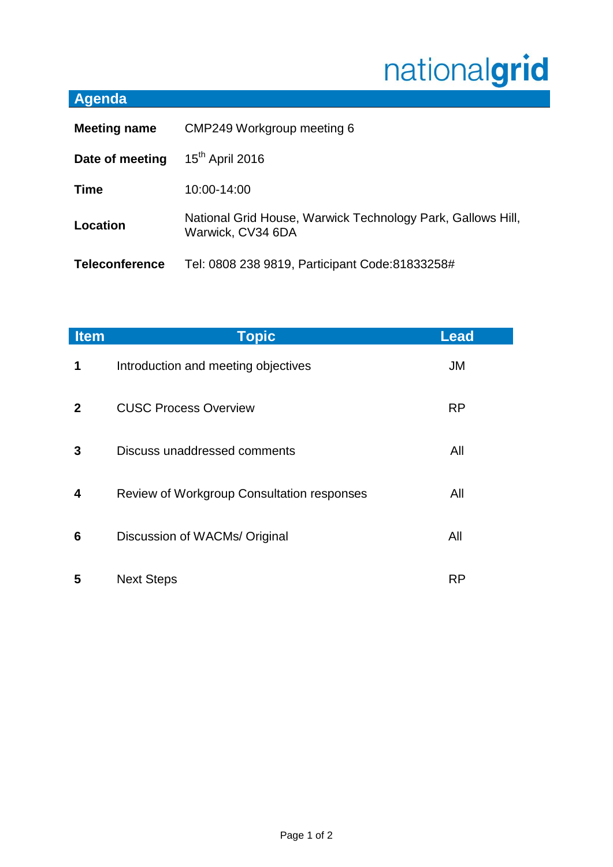## nationalgrid

## **Agenda**

| <b>Meeting name</b>   | CMP249 Workgroup meeting 6                                                       |  |
|-----------------------|----------------------------------------------------------------------------------|--|
| Date of meeting       | $15th$ April 2016                                                                |  |
| <b>Time</b>           | 10:00-14:00                                                                      |  |
| Location              | National Grid House, Warwick Technology Park, Gallows Hill,<br>Warwick, CV34 6DA |  |
| <b>Teleconference</b> | Tel: 0808 238 9819, Participant Code:81833258#                                   |  |

| <b>Item</b>  | <b>Topic</b>                               | <b>Lead</b> |
|--------------|--------------------------------------------|-------------|
| 1            | Introduction and meeting objectives        | JM          |
| $\mathbf{2}$ | <b>CUSC Process Overview</b>               | <b>RP</b>   |
| 3            | Discuss unaddressed comments               | All         |
| 4            | Review of Workgroup Consultation responses | All         |
| 6            | Discussion of WACMs/ Original              | All         |
| 5            | <b>Next Steps</b>                          | <b>RP</b>   |